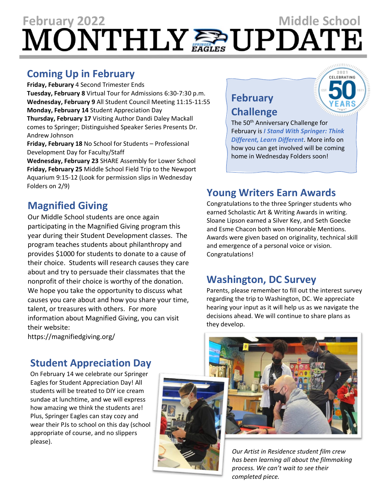# **February** 2022<br>MONTHLY

### **Coming Up in February**

**Friday, Feburary** 4 Second Trimester Ends **Tuesday, February 8** Virtual Tour for Admissions 6:30-7:30 p.m. **Wednesday, February 9** All Student Council Meeting 11:15-11:55 **Monday, February 14** Student Appreciation Day **Thursday, February 17** Visiting Author Dandi Daley Mackall comes to Springer; Distinguished Speaker Series Presents Dr. Andrew Johnson

**Friday, February 18** No School for Students – Professional Development Day for Faculty/Staff

**Wednesday, February 23** SHARE Assembly for Lower School **Friday, February 25** Middle School Field Trip to the Newport Aquarium 9:15-12 (Look for permission slips in Wednesday Folders on 2/9)

# **Magnified Giving**

Our Middle School students are once again participating in the Magnified Giving program this year during their Student Development classes. The program teaches students about philanthropy and provides \$1000 for students to donate to a cause of their choice. Students will research causes they care about and try to persuade their classmates that the nonprofit of their choice is worthy of the donation. We hope you take the opportunity to discuss what causes you care about and how you share your time, talent, or treasures with others. For more information about Magnified Giving, you can visit their website:

https://magnifiedgiving.org/

# **Student Appreciation Day**

On February 14 we celebrate our Springer Eagles for Student Appreciation Day! All students will be treated to DIY ice cream sundae at lunchtime, and we will express how amazing we think the students are! Plus, Springer Eagles can stay cozy and wear their PJs to school on this day (school appropriate of course, and no slippers please).







The 50th Anniversary Challenge for February is *I Stand With Springer: Think Different, Learn Different*. More info on how you can get involved will be coming home in Wednesday Folders soon!

# **Young Writers Earn Awards**

Congratulations to the three Springer students who earned Scholastic Art & Writing Awards in writing. Sloane Lipson earned a Silver Key, and Seth Goecke and Esme Chacon both won Honorable Mentions. Awards were given based on originality, technical skill and emergence of a personal voice or vision. Congratulations!

#### **Washington, DC Survey**

Parents, please remember to fill out the interest survey regarding the trip to Washington, DC. We appreciate hearing your input as it will help us as we navigate the decisions ahead. We will continue to share plans as they develop.

> *Our Artist in Residence student film crew has been learning all about the filmmaking process. We can't wait to see their completed piece.*